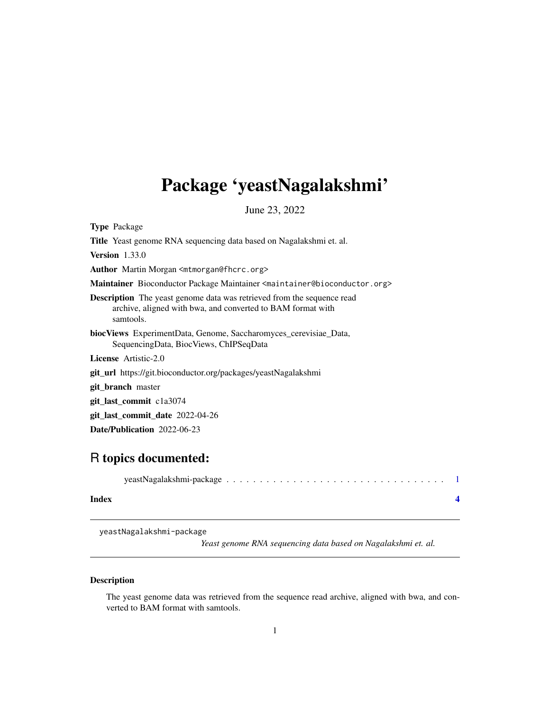## <span id="page-0-0"></span>Package 'yeastNagalakshmi'

June 23, 2022

Type Package

Title Yeast genome RNA sequencing data based on Nagalakshmi et. al.

Version 1.33.0

Author Martin Morgan <mtmorgan@fhcrc.org>

Maintainer Bioconductor Package Maintainer <maintainer@bioconductor.org>

Description The yeast genome data was retrieved from the sequence read archive, aligned with bwa, and converted to BAM format with samtools.

biocViews ExperimentData, Genome, Saccharomyces\_cerevisiae\_Data, SequencingData, BiocViews, ChIPSeqData

License Artistic-2.0

git\_url https://git.bioconductor.org/packages/yeastNagalakshmi

git\_branch master

git\_last\_commit c1a3074

git\_last\_commit\_date 2022-04-26

Date/Publication 2022-06-23

### R topics documented:

| Index |  |  |  |  |  |  |  |  |  |  |  |  |  |  |
|-------|--|--|--|--|--|--|--|--|--|--|--|--|--|--|

yeastNagalakshmi-package

*Yeast genome RNA sequencing data based on Nagalakshmi et. al.*

#### Description

The yeast genome data was retrieved from the sequence read archive, aligned with bwa, and converted to BAM format with samtools.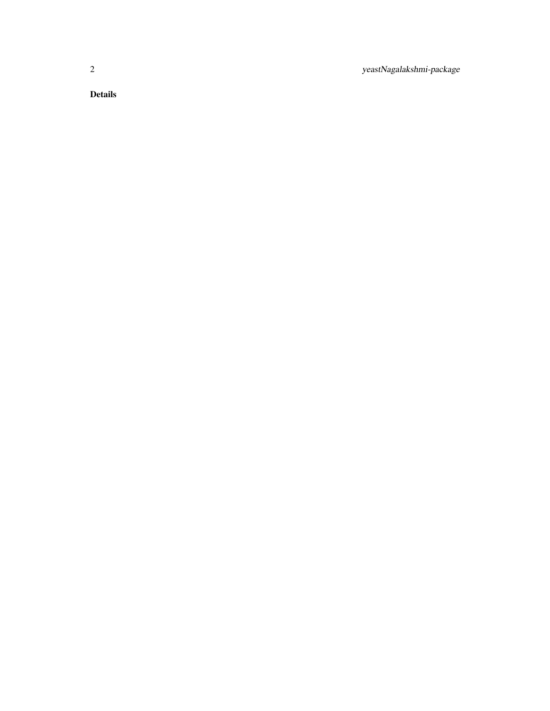2 yeastNagalakshmi-package

Details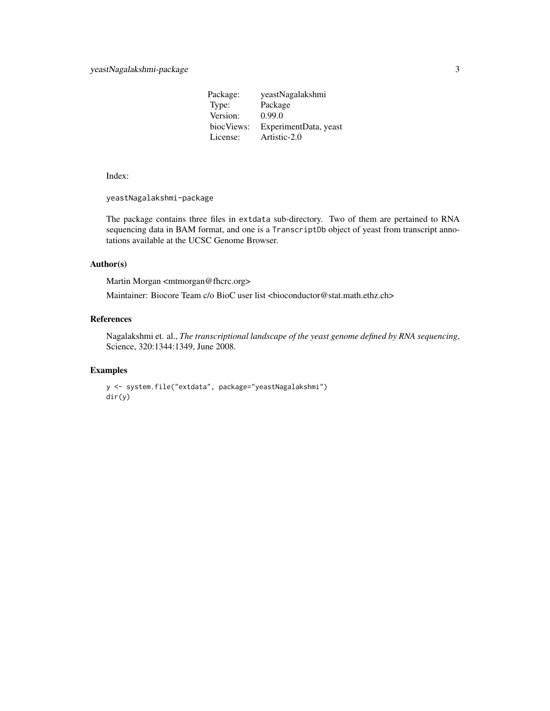| yeastNagalakshmi      |
|-----------------------|
| Package               |
| 0.99.0                |
| ExperimentData, yeast |
| Artistic-2.0          |
|                       |

Index:

yeastNagalakshmi-package

The package contains three files in extdata sub-directory. Two of them are pertained to RNA sequencing data in BAM format, and one is a TranscriptDb object of yeast from transcript annotations available at the UCSC Genome Browser.

#### Author(s)

Martin Morgan <mtmorgan@fhcrc.org>

Maintainer: Biocore Team c/o BioC user list <br/> <br/>bioconductor@stat.math.ethz.ch>

#### References

Nagalakshmi et. al., *The transcriptional landscape of the yeast genome defined by RNA sequencing*, Science, 320:1344:1349, June 2008.

#### Examples

```
y <- system.file("extdata", package="yeastNagalakshmi")
dir(y)
```